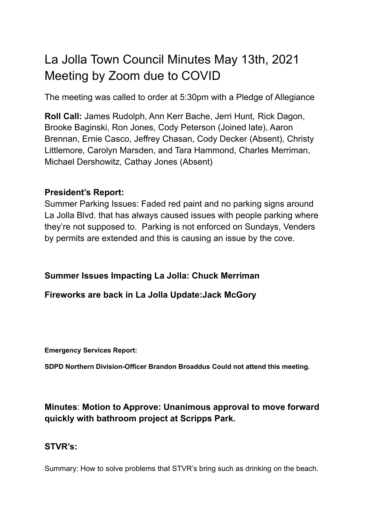# La Jolla Town Council Minutes May 13th, 2021 Meeting by Zoom due to COVID

The meeting was called to order at 5:30pm with a Pledge of Allegiance

**Roll Call:** James Rudolph, Ann Kerr Bache, Jerri Hunt, Rick Dagon, Brooke Baginski, Ron Jones, Cody Peterson (Joined late), Aaron Brennan, Ernie Casco, Jeffrey Chasan, Cody Decker (Absent), Christy Littlemore, Carolyn Marsden, and Tara Hammond, Charles Merriman, Michael Dershowitz, Cathay Jones (Absent)

# **President's Report:**

Summer Parking Issues: Faded red paint and no parking signs around La Jolla Blvd. that has always caused issues with people parking where they're not supposed to. Parking is not enforced on Sundays, Venders by permits are extended and this is causing an issue by the cove.

#### **Summer Issues Impacting La Jolla: Chuck Merriman**

#### **Fireworks are back in La Jolla Update:Jack McGory**

**Emergency Services Report:**

**SDPD Northern Division-Officer Brandon Broaddus Could not attend this meeting.**

# **Minutes**: **Motion to Approve: Unanimous approval to move forward quickly with bathroom project at Scripps Park.**

# **STVR's:**

Summary: How to solve problems that STVR's bring such as drinking on the beach.